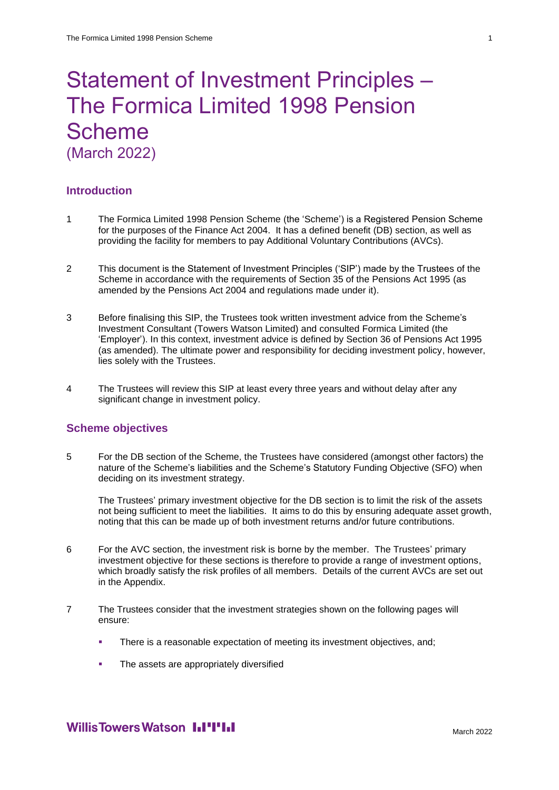# Statement of Investment Principles – The Formica Limited 1998 Pension Scheme (March 2022)

#### **Introduction**

- 1 The Formica Limited 1998 Pension Scheme (the 'Scheme') is a Registered Pension Scheme for the purposes of the Finance Act 2004. It has a defined benefit (DB) section, as well as providing the facility for members to pay Additional Voluntary Contributions (AVCs).
- 2 This document is the Statement of Investment Principles ('SIP') made by the Trustees of the Scheme in accordance with the requirements of Section 35 of the Pensions Act 1995 (as amended by the Pensions Act 2004 and regulations made under it).
- 3 Before finalising this SIP, the Trustees took written investment advice from the Scheme's Investment Consultant (Towers Watson Limited) and consulted Formica Limited (the 'Employer'). In this context, investment advice is defined by Section 36 of Pensions Act 1995 (as amended). The ultimate power and responsibility for deciding investment policy, however, lies solely with the Trustees.
- 4 The Trustees will review this SIP at least every three years and without delay after any significant change in investment policy.

#### **Scheme objectives**

5 For the DB section of the Scheme, the Trustees have considered (amongst other factors) the nature of the Scheme's liabilities and the Scheme's Statutory Funding Objective (SFO) when deciding on its investment strategy.

The Trustees' primary investment objective for the DB section is to limit the risk of the assets not being sufficient to meet the liabilities. It aims to do this by ensuring adequate asset growth, noting that this can be made up of both investment returns and/or future contributions.

- 6 For the AVC section, the investment risk is borne by the member. The Trustees' primary investment objective for these sections is therefore to provide a range of investment options, which broadly satisfy the risk profiles of all members. Details of the current AVCs are set out in the Appendix.
- 7 The Trustees consider that the investment strategies shown on the following pages will ensure:
	- **There is a reasonable expectation of meeting its investment objectives, and:**
	- **•** The assets are appropriately diversified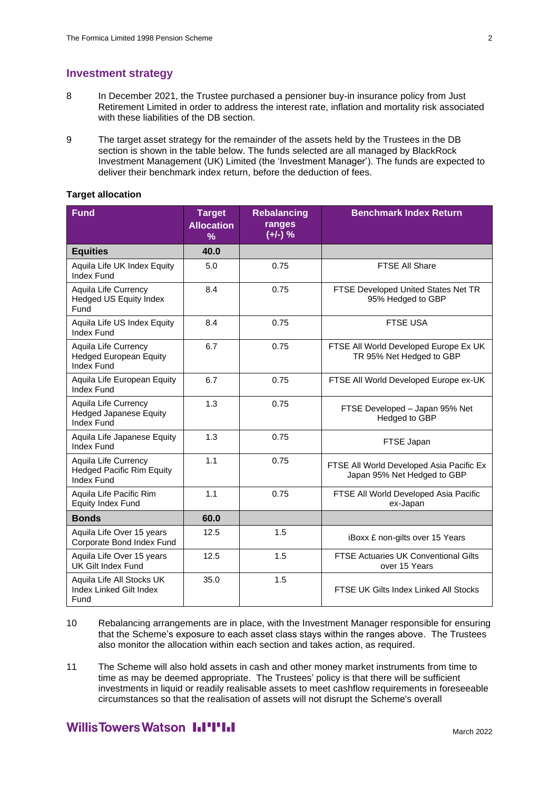#### **Investment strategy**

- 8 In December 2021, the Trustee purchased a pensioner buy-in insurance policy from Just Retirement Limited in order to address the interest rate, inflation and mortality risk associated with these liabilities of the DB section.
- 9 The target asset strategy for the remainder of the assets held by the Trustees in the DB section is shown in the table below. The funds selected are all managed by BlackRock Investment Management (UK) Limited (the 'Investment Manager'). The funds are expected to deliver their benchmark index return, before the deduction of fees.

#### **Target allocation**

| <b>Fund</b>                                                                | <b>Target</b><br><b>Allocation</b><br>$\%$ | <b>Rebalancing</b><br>ranges<br>$(+/-)$ % | <b>Benchmark Index Return</b>                                           |
|----------------------------------------------------------------------------|--------------------------------------------|-------------------------------------------|-------------------------------------------------------------------------|
| <b>Equities</b>                                                            | 40.0                                       |                                           |                                                                         |
| Aquila Life UK Index Equity<br><b>Index Fund</b>                           | 5.0                                        | 0.75                                      | <b>FTSE All Share</b>                                                   |
| <b>Aquila Life Currency</b><br><b>Hedged US Equity Index</b><br>Fund       | 8.4                                        | 0.75                                      | FTSE Developed United States Net TR<br>95% Hedged to GBP                |
| Aquila Life US Index Equity<br>Index Fund                                  | 8.4                                        | 0.75                                      | <b>FTSE USA</b>                                                         |
| Aquila Life Currency<br><b>Hedged European Equity</b><br><b>Index Fund</b> | 6.7                                        | 0.75                                      | FTSE All World Developed Europe Ex UK<br>TR 95% Net Hedged to GBP       |
| Aquila Life European Equity<br><b>Index Fund</b>                           | 6.7                                        | 0.75                                      | FTSE All World Developed Europe ex-UK                                   |
| Aquila Life Currency<br><b>Hedged Japanese Equity</b><br>Index Fund        | 1.3                                        | 0.75                                      | FTSE Developed - Japan 95% Net<br>Hedged to GBP                         |
| Aquila Life Japanese Equity<br><b>Index Fund</b>                           | 1.3                                        | 0.75                                      | FTSE Japan                                                              |
| Aquila Life Currency<br><b>Hedged Pacific Rim Equity</b><br>Index Fund     | 1.1                                        | 0.75                                      | FTSE All World Developed Asia Pacific Ex<br>Japan 95% Net Hedged to GBP |
| Aquila Life Pacific Rim<br><b>Equity Index Fund</b>                        | 1.1                                        | 0.75                                      | FTSE All World Developed Asia Pacific<br>ex-Japan                       |
| <b>Bonds</b>                                                               | 60.0                                       |                                           |                                                                         |
| Aquila Life Over 15 years<br>Corporate Bond Index Fund                     | 12.5                                       | 1.5                                       | iBoxx £ non-gilts over 15 Years                                         |
| Aquila Life Over 15 years<br><b>UK Gilt Index Fund</b>                     | 12.5                                       | 1.5                                       | <b>FTSE Actuaries UK Conventional Gilts</b><br>over 15 Years            |
| Aquila Life All Stocks UK<br>Index Linked Gilt Index<br>Fund               | 35.0                                       | 1.5                                       | FTSE UK Gilts Index Linked All Stocks                                   |

- 10 Rebalancing arrangements are in place, with the Investment Manager responsible for ensuring that the Scheme's exposure to each asset class stays within the ranges above. The Trustees also monitor the allocation within each section and takes action, as required.
- 11 The Scheme will also hold assets in cash and other money market instruments from time to time as may be deemed appropriate. The Trustees' policy is that there will be sufficient investments in liquid or readily realisable assets to meet cashflow requirements in foreseeable circumstances so that the realisation of assets will not disrupt the Scheme's overall

## **WillisTowersWatson I.I'I'I.I**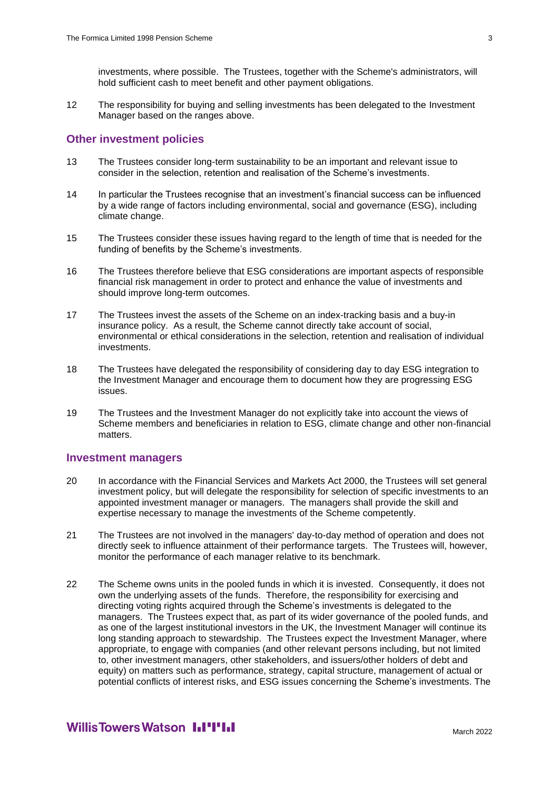investments, where possible. The Trustees, together with the Scheme's administrators, will hold sufficient cash to meet benefit and other payment obligations.

12 The responsibility for buying and selling investments has been delegated to the Investment Manager based on the ranges above.

#### **Other investment policies**

- 13 The Trustees consider long-term sustainability to be an important and relevant issue to consider in the selection, retention and realisation of the Scheme's investments.
- 14 In particular the Trustees recognise that an investment's financial success can be influenced by a wide range of factors including environmental, social and governance (ESG), including climate change.
- 15 The Trustees consider these issues having regard to the length of time that is needed for the funding of benefits by the Scheme's investments.
- 16 The Trustees therefore believe that ESG considerations are important aspects of responsible financial risk management in order to protect and enhance the value of investments and should improve long-term outcomes.
- 17 The Trustees invest the assets of the Scheme on an index-tracking basis and a buy-in insurance policy. As a result, the Scheme cannot directly take account of social, environmental or ethical considerations in the selection, retention and realisation of individual investments.
- 18 The Trustees have delegated the responsibility of considering day to day ESG integration to the Investment Manager and encourage them to document how they are progressing ESG issues.
- 19 The Trustees and the Investment Manager do not explicitly take into account the views of Scheme members and beneficiaries in relation to ESG, climate change and other non-financial matters.

#### **Investment managers**

- 20 In accordance with the Financial Services and Markets Act 2000, the Trustees will set general investment policy, but will delegate the responsibility for selection of specific investments to an appointed investment manager or managers. The managers shall provide the skill and expertise necessary to manage the investments of the Scheme competently.
- 21 The Trustees are not involved in the managers' day-to-day method of operation and does not directly seek to influence attainment of their performance targets. The Trustees will, however, monitor the performance of each manager relative to its benchmark.
- 22 The Scheme owns units in the pooled funds in which it is invested. Consequently, it does not own the underlying assets of the funds. Therefore, the responsibility for exercising and directing voting rights acquired through the Scheme's investments is delegated to the managers. The Trustees expect that, as part of its wider governance of the pooled funds, and as one of the largest institutional investors in the UK, the Investment Manager will continue its long standing approach to stewardship. The Trustees expect the Investment Manager, where appropriate, to engage with companies (and other relevant persons including, but not limited to, other investment managers, other stakeholders, and issuers/other holders of debt and equity) on matters such as performance, strategy, capital structure, management of actual or potential conflicts of interest risks, and ESG issues concerning the Scheme's investments. The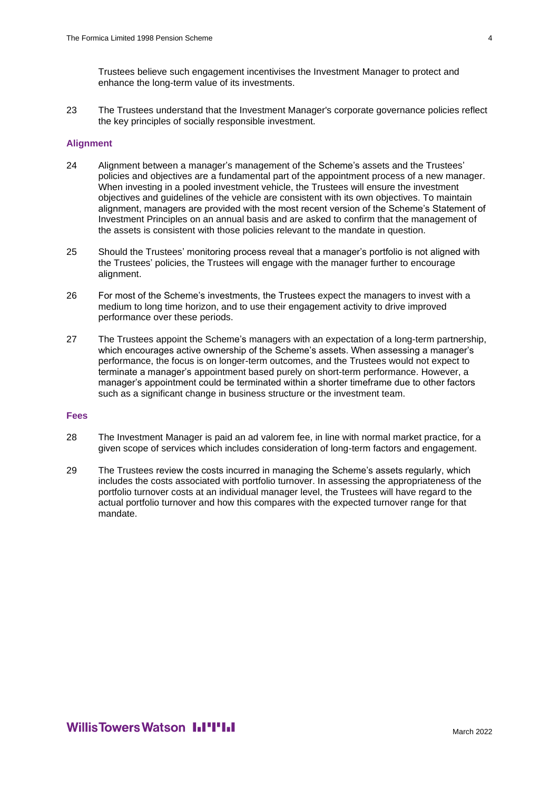Trustees believe such engagement incentivises the Investment Manager to protect and enhance the long-term value of its investments.

23 The Trustees understand that the Investment Manager's corporate governance policies reflect the key principles of socially responsible investment.

#### **Alignment**

- 24 Alignment between a manager's management of the Scheme's assets and the Trustees' policies and objectives are a fundamental part of the appointment process of a new manager. When investing in a pooled investment vehicle, the Trustees will ensure the investment objectives and guidelines of the vehicle are consistent with its own objectives. To maintain alignment, managers are provided with the most recent version of the Scheme's Statement of Investment Principles on an annual basis and are asked to confirm that the management of the assets is consistent with those policies relevant to the mandate in question.
- 25 Should the Trustees' monitoring process reveal that a manager's portfolio is not aligned with the Trustees' policies, the Trustees will engage with the manager further to encourage alignment.
- 26 For most of the Scheme's investments, the Trustees expect the managers to invest with a medium to long time horizon, and to use their engagement activity to drive improved performance over these periods.
- 27 The Trustees appoint the Scheme's managers with an expectation of a long-term partnership, which encourages active ownership of the Scheme's assets. When assessing a manager's performance, the focus is on longer-term outcomes, and the Trustees would not expect to terminate a manager's appointment based purely on short-term performance. However, a manager's appointment could be terminated within a shorter timeframe due to other factors such as a significant change in business structure or the investment team.

#### **Fees**

- 28 The Investment Manager is paid an ad valorem fee, in line with normal market practice, for a given scope of services which includes consideration of long-term factors and engagement.
- 29 The Trustees review the costs incurred in managing the Scheme's assets regularly, which includes the costs associated with portfolio turnover. In assessing the appropriateness of the portfolio turnover costs at an individual manager level, the Trustees will have regard to the actual portfolio turnover and how this compares with the expected turnover range for that mandate.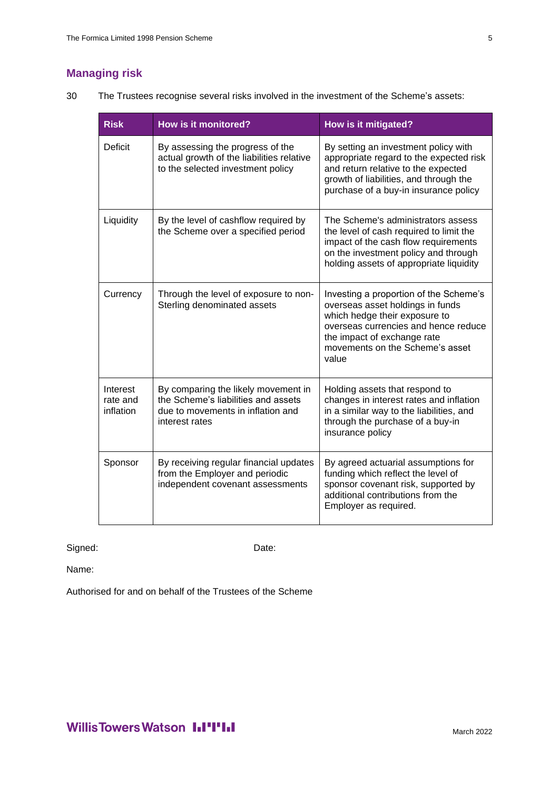# **Managing risk**

30 The Trustees recognise several risks involved in the investment of the Scheme's assets:

| <b>Risk</b>                       | <b>How is it monitored?</b>                                                                                                       | How is it mitigated?                                                                                                                                                                                                           |
|-----------------------------------|-----------------------------------------------------------------------------------------------------------------------------------|--------------------------------------------------------------------------------------------------------------------------------------------------------------------------------------------------------------------------------|
| Deficit                           | By assessing the progress of the<br>actual growth of the liabilities relative<br>to the selected investment policy                | By setting an investment policy with<br>appropriate regard to the expected risk<br>and return relative to the expected<br>growth of liabilities, and through the<br>purchase of a buy-in insurance policy                      |
| Liquidity                         | By the level of cashflow required by<br>the Scheme over a specified period                                                        | The Scheme's administrators assess<br>the level of cash required to limit the<br>impact of the cash flow requirements<br>on the investment policy and through<br>holding assets of appropriate liquidity                       |
| Currency                          | Through the level of exposure to non-<br>Sterling denominated assets                                                              | Investing a proportion of the Scheme's<br>overseas asset holdings in funds<br>which hedge their exposure to<br>overseas currencies and hence reduce<br>the impact of exchange rate<br>movements on the Scheme's asset<br>value |
| Interest<br>rate and<br>inflation | By comparing the likely movement in<br>the Scheme's liabilities and assets<br>due to movements in inflation and<br>interest rates | Holding assets that respond to<br>changes in interest rates and inflation<br>in a similar way to the liabilities, and<br>through the purchase of a buy-in<br>insurance policy                                                  |
| Sponsor                           | By receiving regular financial updates<br>from the Employer and periodic<br>independent covenant assessments                      | By agreed actuarial assumptions for<br>funding which reflect the level of<br>sponsor covenant risk, supported by<br>additional contributions from the<br>Employer as required.                                                 |

### Signed: Date:

Name:

Authorised for and on behalf of the Trustees of the Scheme